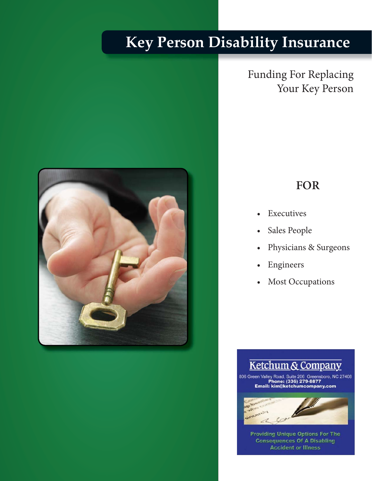# **Key Person Disability Insurance**



Funding For Replacing Your Key Person

## **FOR**

- **Executives**
- Sales People
- Physicians & Surgeons
- **Engineers**
- Most Occupations



**Accident or Illness Providing Unique Options For The<br>Consequences Of A Disabling**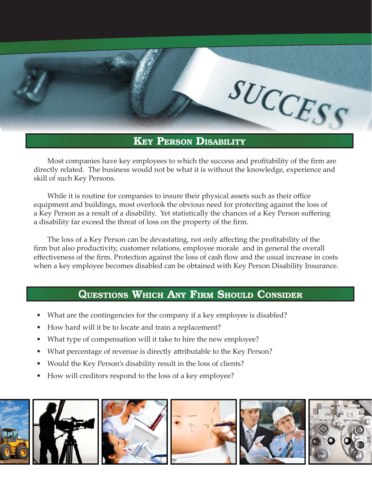

### **KEY PERSON DISABILITY**

Most companies have key employees to which the success and profitability of the firm are directly related. The business would not be what it is without the knowledge, experience and skill of such Key Persons.

While it is routine for companies to insure their physical assets such as their office equipment and buildings, most overlook the obvious need for protecting against the loss of a Key Person as a result of a disability. Yet statistically the chances of a Key Person suffering a disability far exceed the threat of loss on the property of the firm.

The loss of a Key Person can be devastating, not only affecting the profitability of the firm but also productivity, customer relations, employee morale and in general the overall effectiveness of the firm. Protection against the loss of cash flow and the usual increase in costs when a key employee becomes disabled can be obtained with Key Person Disability Insurance.

#### **QUESTIONS WHICH ANY FIRM SHOULD CONSIDER**

- What are the contingencies for the company if a key employee is disabled?
- How hard will it be to locate and train a replacement?
- What type of compensation will it take to hire the new employee?
- What percentage of revenue is directly attributable to the Key Person?
- Would the Key Person's disability result in the loss of clients?
- How will creditors respond to the loss of a key employee?

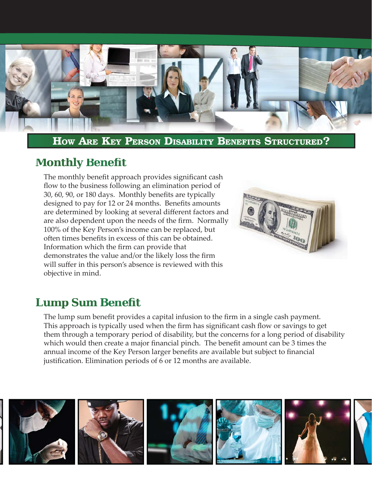

**HOW ARE KEY PERSON DISABILITY BENEFITS STRUCTURED?**

## **Monthly Benefit**

The monthly benefit approach provides significant cash flow to the business following an elimination period of 30, 60, 90, or 180 days. Monthly benefits are typically designed to pay for 12 or 24 months. Benefits amounts are determined by looking at several different factors and are also dependent upon the needs of the firm. Normally 100% of the Key Person's income can be replaced, but often times benefits in excess of this can be obtained. Information which the firm can provide that demonstrates the value and/or the likely loss the firm will suffer in this person's absence is reviewed with this objective in mind.



# **Lump Sum Benefit**

The lump sum benefit provides a capital infusion to the firm in a single cash payment. This approach is typically used when the firm has significant cash flow or savings to get them through a temporary period of disability, but the concerns for a long period of disability which would then create a major financial pinch. The benefit amount can be 3 times the annual income of the Key Person larger benefits are available but subject to financial justification. Elimination periods of 6 or 12 months are available.